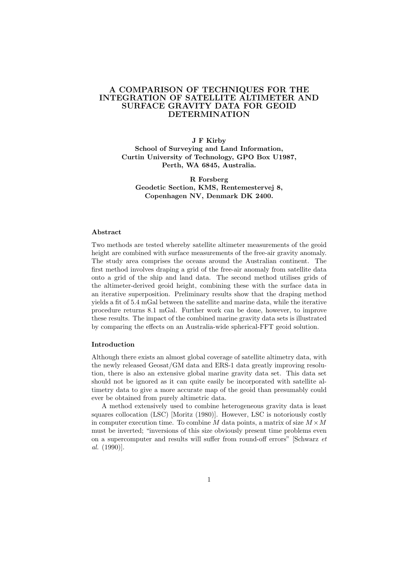# A COMPARISON OF TECHNIQUES FOR THE INTEGRATION OF SATELLITE ALTIMETER AND SURFACE GRAVITY DATA FOR GEOID DETERMINATION

J F Kirby School of Surveying and Land Information, Curtin University of Technology, GPO Box U1987, Perth, WA 6845, Australia.

R Forsberg Geodetic Section, KMS, Rentemestervej 8, Copenhagen NV, Denmark DK 2400.

#### Abstract

Two methods are tested whereby satellite altimeter measurements of the geoid height are combined with surface measurements of the free-air gravity anomaly. The study area comprises the oceans around the Australian continent. The first method involves draping a grid of the free-air anomaly from satellite data onto a grid of the ship and land data. The second method utilises grids of the altimeter-derived geoid height, combining these with the surface data in an iterative superposition. Preliminary results show that the draping method yields a fit of 5.4 mGal between the satellite and marine data, while the iterative procedure returns 8.1 mGal. Further work can be done, however, to improve these results. The impact of the combined marine gravity data sets is illustrated by comparing the effects on an Australia-wide spherical-FFT geoid solution.

## Introduction

Although there exists an almost global coverage of satellite altimetry data, with the newly released Geosat/GM data and ERS-1 data greatly improving resolution, there is also an extensive global marine gravity data set. This data set should not be ignored as it can quite easily be incorporated with satellite altimetry data to give a more accurate map of the geoid than presumably could ever be obtained from purely altimetric data.

A method extensively used to combine heterogeneous gravity data is least squares collocation (LSC) [Moritz (1980)]. However, LSC is notoriously costly in computer execution time. To combine M data points, a matrix of size  $M \times M$ must be inverted; "inversions of this size obviously present time problems even on a supercomputer and results will suffer from round-off errors" [Schwarz et al. (1990)].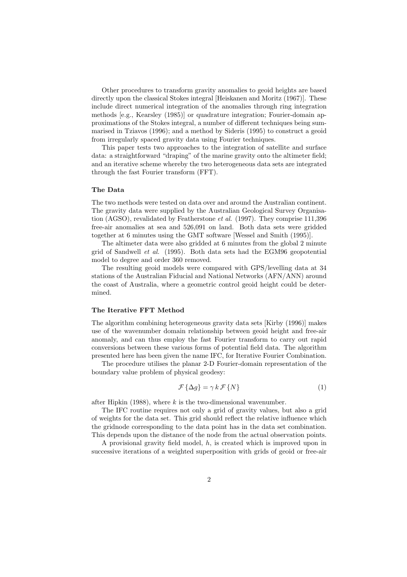Other procedures to transform gravity anomalies to geoid heights are based directly upon the classical Stokes integral [Heiskanen and Moritz (1967)]. These include direct numerical integration of the anomalies through ring integration methods [e.g., Kearsley (1985)] or quadrature integration; Fourier-domain approximations of the Stokes integral, a number of different techniques being summarised in Tziavos (1996); and a method by Sideris (1995) to construct a geoid from irregularly spaced gravity data using Fourier techniques.

This paper tests two approaches to the integration of satellite and surface data: a straightforward "draping" of the marine gravity onto the altimeter field; and an iterative scheme whereby the two heterogeneous data sets are integrated through the fast Fourier transform (FFT).

### The Data

The two methods were tested on data over and around the Australian continent. The gravity data were supplied by the Australian Geological Survey Organisation (AGSO), revalidated by Featherstone et al. (1997). They comprise 111,396 free-air anomalies at sea and 526,091 on land. Both data sets were gridded together at 6 minutes using the GMT software [Wessel and Smith (1995)].

The altimeter data were also gridded at 6 minutes from the global 2 minute grid of Sandwell et al. (1995). Both data sets had the EGM96 geopotential model to degree and order 360 removed.

The resulting geoid models were compared with GPS/levelling data at 34 stations of the Australian Fiducial and National Networks (AFN/ANN) around the coast of Australia, where a geometric control geoid height could be determined.

### The Iterative FFT Method

The algorithm combining heterogeneous gravity data sets [Kirby (1996)] makes use of the wavenumber domain relationship between geoid height and free-air anomaly, and can thus employ the fast Fourier transform to carry out rapid conversions between these various forms of potential field data. The algorithm presented here has been given the name IFC, for Iterative Fourier Combination.

The procedure utilises the planar 2-D Fourier-domain representation of the boundary value problem of physical geodesy:

$$
\mathcal{F}\left\{\Delta g\right\} = \gamma k \mathcal{F}\left\{N\right\} \tag{1}
$$

after Hipkin (1988), where  $k$  is the two-dimensional wavenumber.

The IFC routine requires not only a grid of gravity values, but also a grid of weights for the data set. This grid should reflect the relative influence which the gridnode corresponding to the data point has in the data set combination. This depends upon the distance of the node from the actual observation points.

A provisional gravity field model, h, is created which is improved upon in successive iterations of a weighted superposition with grids of geoid or free-air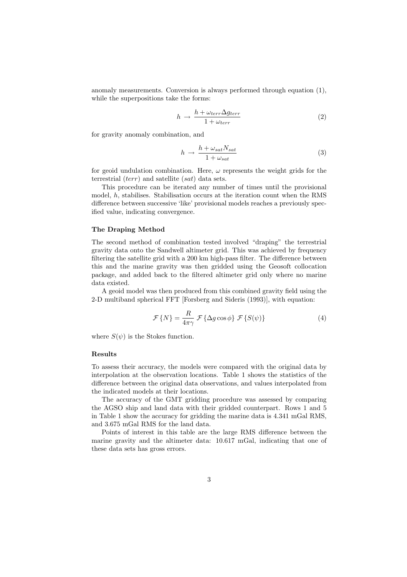anomaly measurements. Conversion is always performed through equation (1), while the superpositions take the forms:

$$
h \rightarrow \frac{h + \omega_{terr} \Delta g_{terr}}{1 + \omega_{terr}} \tag{2}
$$

for gravity anomaly combination, and

$$
h \rightarrow \frac{h + \omega_{sat} N_{sat}}{1 + \omega_{sat}} \tag{3}
$$

for geoid undulation combination. Here,  $\omega$  represents the weight grids for the terrestrial (terr) and satellite (sat) data sets.

This procedure can be iterated any number of times until the provisional model, h, stabilises. Stabilisation occurs at the iteration count when the RMS difference between successive 'like' provisional models reaches a previously specified value, indicating convergence.

### The Draping Method

The second method of combination tested involved "draping" the terrestrial gravity data onto the Sandwell altimeter grid. This was achieved by frequency filtering the satellite grid with a 200 km high-pass filter. The difference between this and the marine gravity was then gridded using the Geosoft collocation package, and added back to the filtered altimeter grid only where no marine data existed.

A geoid model was then produced from this combined gravity field using the 2-D multiband spherical FFT [Forsberg and Sideris (1993)], with equation:

$$
\mathcal{F}\{N\} = \frac{R}{4\pi\gamma} \mathcal{F}\{\Delta g\cos\phi\} \mathcal{F}\{S(\psi)\}\tag{4}
$$

where  $S(\psi)$  is the Stokes function.

### Results

To assess their accuracy, the models were compared with the original data by interpolation at the observation locations. Table 1 shows the statistics of the difference between the original data observations, and values interpolated from the indicated models at their locations.

The accuracy of the GMT gridding procedure was assessed by comparing the AGSO ship and land data with their gridded counterpart. Rows 1 and 5 in Table 1 show the accuracy for gridding the marine data is 4.341 mGal RMS, and 3.675 mGal RMS for the land data.

Points of interest in this table are the large RMS difference between the marine gravity and the altimeter data: 10.617 mGal, indicating that one of these data sets has gross errors.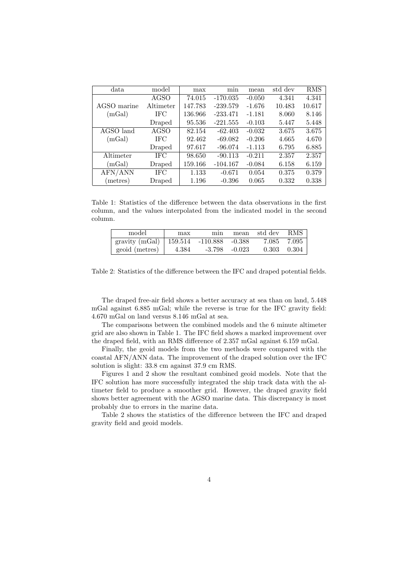| data                                   | model       | max     | mın        | mean     | std dev | <b>RMS</b> |
|----------------------------------------|-------------|---------|------------|----------|---------|------------|
|                                        | AGSO        | 74.015  | $-170.035$ | $-0.050$ | 4.341   | 4.341      |
| AGSO marine                            | Altimeter   | 147.783 | $-239.579$ | $-1.676$ | 10.483  | 10.617     |
| (mGal)                                 | <b>IFC</b>  | 136.966 | $-233.471$ | $-1.181$ | 8.060   | 8.146      |
|                                        | Draped      | 95.536  | $-221.555$ | $-0.103$ | 5.447   | 5.448      |
| AGSO land                              | <b>AGSO</b> | 82.154  | $-62.403$  | $-0.032$ | 3.675   | 3.675      |
| (mGal)                                 | IFC         | 92.462  | $-69.082$  | $-0.206$ | 4.665   | 4.670      |
|                                        | Draped      | 97.617  | $-96.074$  | $-1.113$ | 6.795   | 6.885      |
| Altimeter                              | IFC         | 98.650  | $-90.113$  | $-0.211$ | 2.357   | 2.357      |
| (mGal)                                 | Draped      | 159.166 | $-104.167$ | $-0.084$ | 6.158   | 6.159      |
| $\overline{\mathrm{AFN}/\mathrm{ANN}}$ | IFC         | 1.133   | $-0.671$   | 0.054    | 0.375   | 0.379      |
| (metres)                               | Draped      | 1.196   | $-0.396$   | 0.065    | 0.332   | 0.338      |

Table 1: Statistics of the difference between the data observations in the first column, and the values interpolated from the indicated model in the second column.

| model                                      | max | min               | mean std dev    | RMS |
|--------------------------------------------|-----|-------------------|-----------------|-----|
| gravity (mGal)   159.514 -110.888 $-0.388$ |     |                   | 7.085 7.095     |     |
| $\text{geoid (metres)}$ 4.384              |     | $-3.798$ $-0.023$ | $0.303$ $0.304$ |     |

Table 2: Statistics of the difference between the IFC and draped potential fields.

The draped free-air field shows a better accuracy at sea than on land, 5.448 mGal against 6.885 mGal; while the reverse is true for the IFC gravity field: 4.670 mGal on land versus 8.146 mGal at sea.

The comparisons between the combined models and the 6 minute altimeter grid are also shown in Table 1. The IFC field shows a marked improvement over the draped field, with an RMS difference of 2.357 mGal against 6.159 mGal.

Finally, the geoid models from the two methods were compared with the coastal AFN/ANN data. The improvement of the draped solution over the IFC solution is slight: 33.8 cm against 37.9 cm RMS.

Figures 1 and 2 show the resultant combined geoid models. Note that the IFC solution has more successfully integrated the ship track data with the altimeter field to produce a smoother grid. However, the draped gravity field shows better agreement with the AGSO marine data. This discrepancy is most probably due to errors in the marine data.

Table 2 shows the statistics of the difference between the IFC and draped gravity field and geoid models.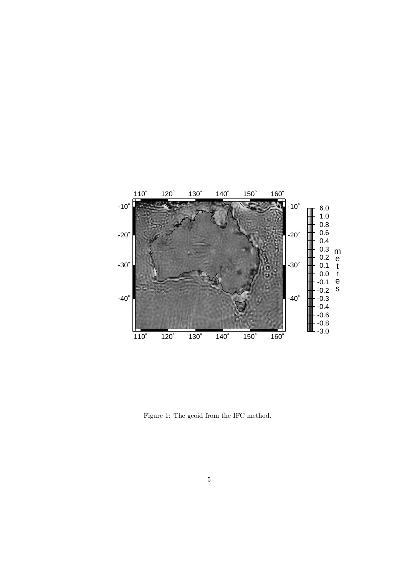

Figure 1: The geoid from the IFC method.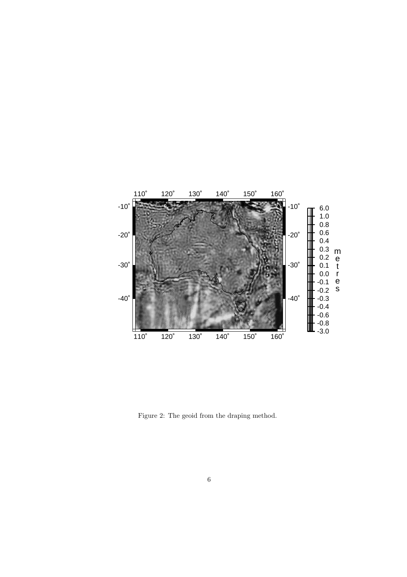

Figure 2: The geoid from the draping method.